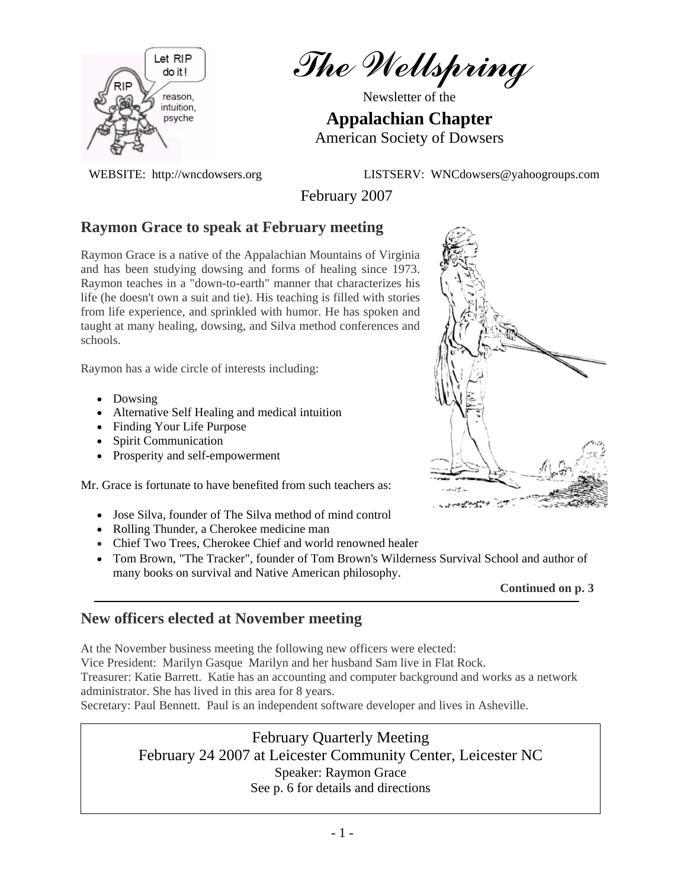

The Wellspring

Newsletter of the

**Appalachian Chapter**  American Society of Dowsers

WEBSITE: http://wncdowsers.org LISTSERV: WNCdowsers@yahoogroups.com

February 2007

## **Raymon Grace to speak at February meeting**

Raymon Grace is a native of the Appalachian Mountains of Virginia and has been studying dowsing and forms of healing since 1973. Raymon teaches in a "down-to-earth" manner that characterizes his life (he doesn't own a suit and tie). His teaching is filled with stories from life experience, and sprinkled with humor. He has spoken and taught at many healing, dowsing, and Silva method conferences and schools.

Raymon has a wide circle of interests including:

- Dowsing
- Alternative Self Healing and medical intuition
- Finding Your Life Purpose
- Spirit Communication
- Prosperity and self-empowerment

Mr. Grace is fortunate to have benefited from such teachers as:

- Jose Silva, founder of The Silva method of mind control
- Rolling Thunder, a Cherokee medicine man
- Chief Two Trees, Cherokee Chief and world renowned healer
- Tom Brown, "The Tracker", founder of Tom Brown's Wilderness Survival School and author of many books on survival and Native American philosophy.



## **New officers elected at November meeting**

At the November business meeting the following new officers were elected:

Vice President: Marilyn Gasque Marilyn and her husband Sam live in Flat Rock.

Treasurer: Katie Barrett. Katie has an accounting and computer background and works as a network administrator. She has lived in this area for 8 years.

Secretary: Paul Bennett. Paul is an independent software developer and lives in Asheville.

## February Quarterly Meeting

February 24 2007 at Leicester Community Center, Leicester NC Speaker: Raymon Grace See p. 6 for details and directions

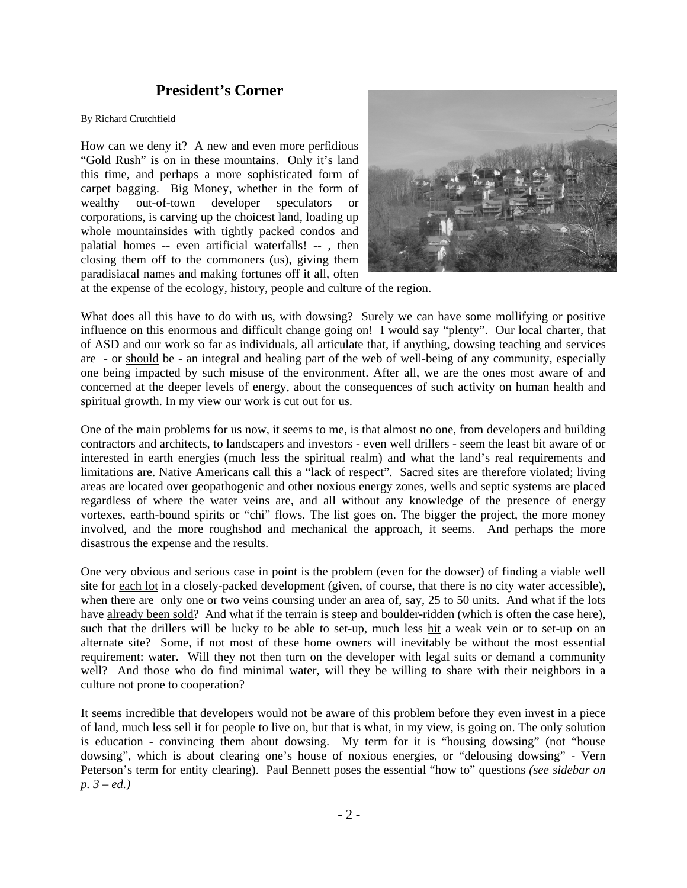### **President's Corner**

#### By Richard Crutchfield

How can we deny it? A new and even more perfidious "Gold Rush" is on in these mountains. Only it's land this time, and perhaps a more sophisticated form of carpet bagging. Big Money, whether in the form of wealthy out-of-town developer speculators or corporations, is carving up the choicest land, loading up whole mountainsides with tightly packed condos and palatial homes -- even artificial waterfalls! -- , then closing them off to the commoners (us), giving them paradisiacal names and making fortunes off it all, often



at the expense of the ecology, history, people and culture of the region.

What does all this have to do with us, with dowsing? Surely we can have some mollifying or positive influence on this enormous and difficult change going on! I would say "plenty". Our local charter, that of ASD and our work so far as individuals, all articulate that, if anything, dowsing teaching and services are - or should be - an integral and healing part of the web of well-being of any community, especially one being impacted by such misuse of the environment. After all, we are the ones most aware of and concerned at the deeper levels of energy, about the consequences of such activity on human health and spiritual growth. In my view our work is cut out for us.

One of the main problems for us now, it seems to me, is that almost no one, from developers and building contractors and architects, to landscapers and investors - even well drillers - seem the least bit aware of or interested in earth energies (much less the spiritual realm) and what the land's real requirements and limitations are. Native Americans call this a "lack of respect". Sacred sites are therefore violated; living areas are located over geopathogenic and other noxious energy zones, wells and septic systems are placed regardless of where the water veins are, and all without any knowledge of the presence of energy vortexes, earth-bound spirits or "chi" flows. The list goes on. The bigger the project, the more money involved, and the more roughshod and mechanical the approach, it seems. And perhaps the more disastrous the expense and the results.

One very obvious and serious case in point is the problem (even for the dowser) of finding a viable well site for each lot in a closely-packed development (given, of course, that there is no city water accessible), when there are only one or two veins coursing under an area of, say, 25 to 50 units. And what if the lots have already been sold? And what if the terrain is steep and boulder-ridden (which is often the case here), such that the drillers will be lucky to be able to set-up, much less hit a weak vein or to set-up on an alternate site? Some, if not most of these home owners will inevitably be without the most essential requirement: water. Will they not then turn on the developer with legal suits or demand a community well? And those who do find minimal water, will they be willing to share with their neighbors in a culture not prone to cooperation?

It seems incredible that developers would not be aware of this problem before they even invest in a piece of land, much less sell it for people to live on, but that is what, in my view, is going on. The only solution is education - convincing them about dowsing. My term for it is "housing dowsing" (not "house dowsing", which is about clearing one's house of noxious energies, or "delousing dowsing" - Vern Peterson's term for entity clearing). Paul Bennett poses the essential "how to" questions *(see sidebar on p. 3 – ed.)*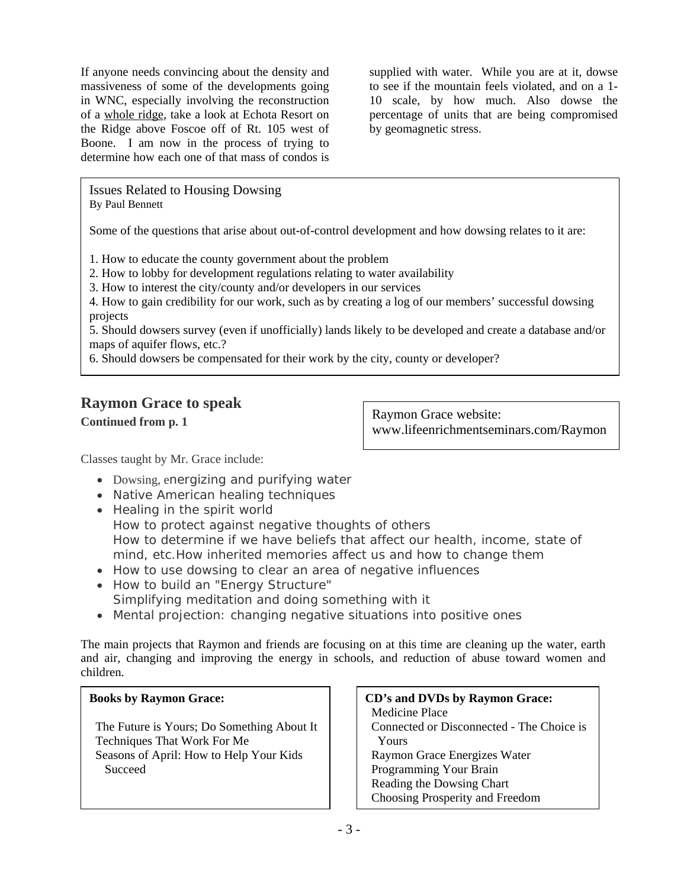If anyone needs convincing about the density and massiveness of some of the developments going in WNC, especially involving the reconstruction of a whole ridge, take a look at Echota Resort on the Ridge above Foscoe off of Rt. 105 west of Boone. I am now in the process of trying to determine how each one of that mass of condos is

supplied with water. While you are at it, dowse to see if the mountain feels violated, and on a 1- 10 scale, by how much. Also dowse the percentage of units that are being compromised by geomagnetic stress.

Issues Related to Housing Dowsing By Paul Bennett

Some of the questions that arise about out-of-control development and how dowsing relates to it are:

1. How to educate the county government about the problem

2. How to lobby for development regulations relating to water availability

3. How to interest the city/county and/or developers in our services

4. How to gain credibility for our work, such as by creating a log of our members' successful dowsing projects

5. Should dowsers survey (even if unofficially) lands likely to be developed and create a database and/or maps of aquifer flows, etc.?

6. Should dowsers be compensated for their work by the city, county or developer?

## **Raymon Grace to speak**

**Continued from p. 1** 

Raymon Grace website: www.lifeenrichmentseminars.com/Raymon

Classes taught by Mr. Grace include:

- Dowsing, energizing and purifying water
- Native American healing techniques
- Healing in the spirit world How to protect against negative thoughts of others How to determine if we have beliefs that affect our health, income, state of mind, etc.How inherited memories affect us and how to change them
- How to use dowsing to clear an area of negative influences
- How to build an "Energy Structure"
- Simplifying meditation and doing something with it
- Mental projection: changing negative situations into positive ones

The main projects that Raymon and friends are focusing on at this time are cleaning up the water, earth and air, changing and improving the energy in schools, and reduction of abuse toward women and children.

### **Books by Raymon Grace:**

 The Future is Yours; Do Something About It Techniques That Work For Me Seasons of April: How to Help Your Kids Succeed

#### **CD's and DVDs by Raymon Grace:**  Medicine Place Connected or Disconnected - The Choice is Yours Raymon Grace Energizes Water Programming Your Brain Reading the Dowsing Chart Choosing Prosperity and Freedom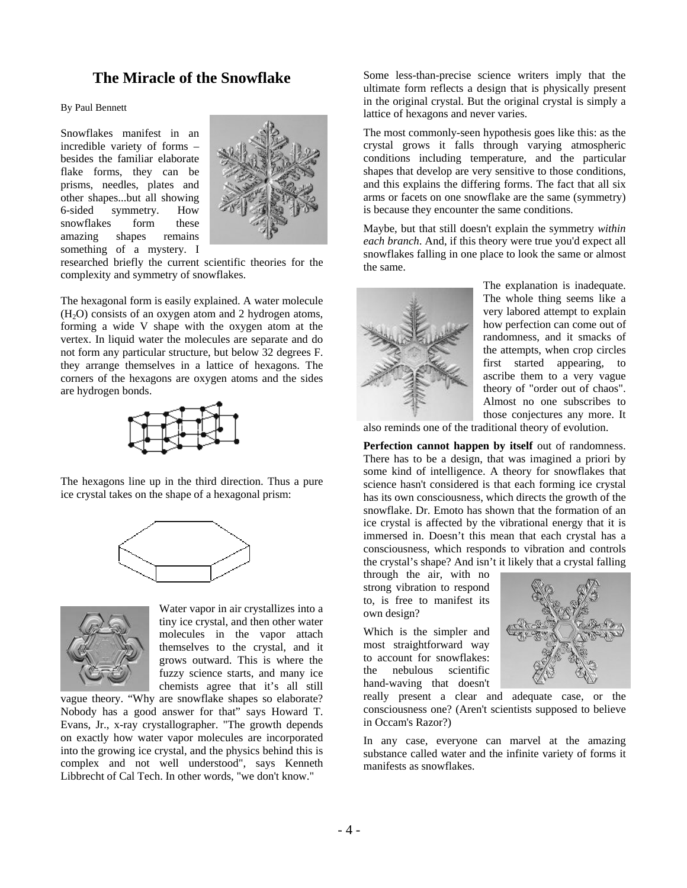### **The Miracle of the Snowflake**

By Paul Bennett

Snowflakes manifest in an incredible variety of forms – besides the familiar elaborate flake forms, they can be prisms, needles, plates and other shapes...but all showing 6-sided symmetry. How snowflakes form these amazing shapes remains something of a mystery. I



researched briefly the current scientific theories for the complexity and symmetry of snowflakes.

The hexagonal form is easily explained. A water molecule  $(H<sub>2</sub>O)$  consists of an oxygen atom and 2 hydrogen atoms, forming a wide V shape with the oxygen atom at the vertex. In liquid water the molecules are separate and do not form any particular structure, but below 32 degrees F. they arrange themselves in a lattice of hexagons. The corners of the hexagons are oxygen atoms and the sides are hydrogen bonds.



The hexagons line up in the third direction. Thus a pure ice crystal takes on the shape of a hexagonal prism:





Water v apor in air crystallizes into a tiny ice crystal, and then other water molecules in the vapor attach themselves to the crystal, and it grows outward. This is where the fuzzy science starts, and many ice chemists agree that it's all still

vague theory. "Why are snowflake shapes so elaborate? Nobody has a good answer for that" says Howard T. Evans, Jr., x-ray crystallographer. "The growth depends on exactly how water vapor molecules are incorporated into the growing ice crystal, and the physics behind this is complex and not well understood", says Kenneth Libbrecht of Cal Tech. In other words, "we don't know."

Some less-than-precise science writers imply that the ultimate form reflects a design that is physically present in the original crystal. But the original crystal is simply a lattice of hexagons and never varies.

The most commonly-seen hypothesis goes like this: as the crystal grows it falls through varying atmospheric conditions including temperature, and the particular shapes that develop are very sensitive to those conditions, and this explains the differing forms. The fact that all six arms or facets on one snowflake are the same (symmetry) is because they encounter the same conditions.

Maybe, but that still doesn't explain the symmetry *within each branch*. And, if this theory were true you'd expect all snowflakes falling in one place to look the same or almost the same.



The explanation is inadequate. The whole thing seems like a very labored attempt to explain how perfection can come out of randomness, and it smacks of the attempts, when crop circles first started appearing, to ascribe them to a very vague theory of "order out of chaos". Almost no one subscribes to those conjectures any more. It

also reminds one of the traditional theory of evolution.

**Perfection cannot happen by itself** out of randomness. There has to be a design, that was imagined a priori by some kind of intelligence. A theory for snowflakes that science hasn't considered is that each forming ice crystal has its own consciousness, which directs the growth of the snowflake. Dr. Emoto has shown that the formation of an ice crystal is affected by the vibrational energy that it is immersed in. Doesn't this mean that each crystal has a consciousness, which responds to vibration and controls the crystal's shape? And isn't it likely that a crystal falling

through the air, with no strong vibration to respond to, is free to manifest its own design?

Which is the simpler and most straightforward way to account for snowflakes: the nebulous scientific hand-waving that doesn't



really present a clear and adequate case, or the consciousness one? (Aren't scientists supposed to believe in Occam's Razor?)

In any case, everyone can marvel at the amazing substance called water and the infinite variety of forms it manifests as snowflakes.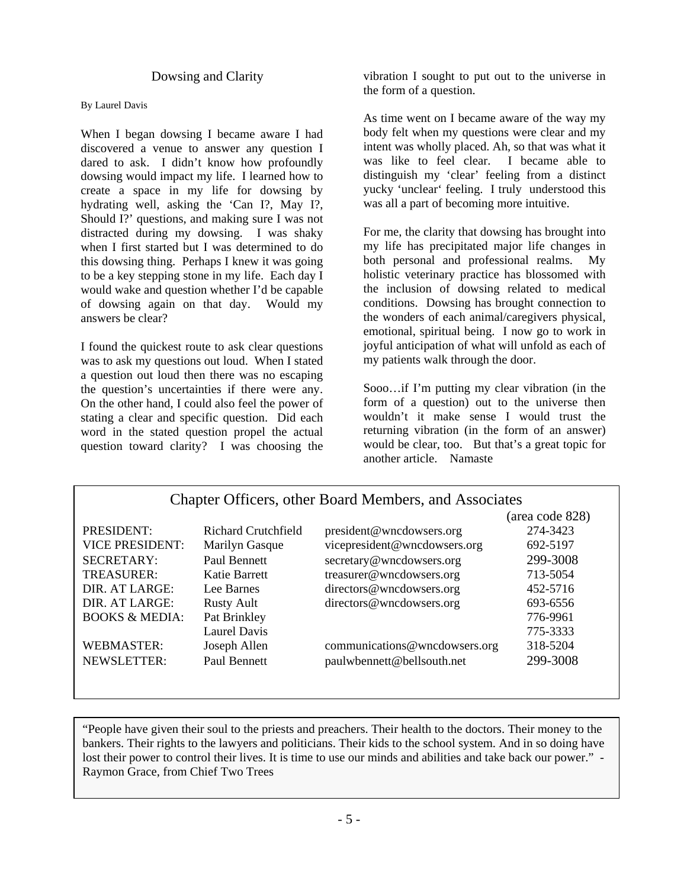#### Dowsing and Clarity

#### By Laurel Davis

When I began dowsing I became aware I had discovered a venue to answer any question I dared to ask. I didn't know how profoundly dowsing would impact my life. I learned how to create a space in my life for dowsing by hydrating well, asking the 'Can I?, May I?, Should I?' questions, and making sure I was not distracted during my dowsing. I was shaky when I first started but I was determined to do this dowsing thing. Perhaps I knew it was going to be a key stepping stone in my life. Each day I would wake and question whether I'd be capable of dowsing again on that day. Would my answers be clear?

I found the quickest route to ask clear questions was to ask my questions out loud. When I stated a question out loud then there was no escaping the question's uncertainties if there were any. On the other hand, I could also feel the power of stating a clear and specific question. Did each word in the stated question propel the actual question toward clarity? I was choosing the

vibration I sought to put out to the universe in the form of a question.

As time went on I became aware of the way my body felt when my questions were clear and my intent was wholly placed. Ah, so that was what it was like to feel clear. I became able to distinguish my 'clear' feeling from a distinct yucky 'unclear' feeling. I truly understood this was all a part of becoming more intuitive.

For me, the clarity that dowsing has brought into my life has precipitated major life changes in both personal and professional realms. My holistic veterinary practice has blossomed with the inclusion of dowsing related to medical conditions. Dowsing has brought connection to the wonders of each animal/caregivers physical, emotional, spiritual being. I now go to work in joyful anticipation of what will unfold as each of my patients walk through the door.

Sooo…if I'm putting my clear vibration (in the form of a question) out to the universe then wouldn't it make sense I would trust the returning vibration (in the form of an answer) would be clear, too. But that's a great topic for another article. Namaste

| Chapter Officers, other Board Members, and Associates |                     |                               |                 |  |  |
|-------------------------------------------------------|---------------------|-------------------------------|-----------------|--|--|
|                                                       |                     |                               | (area code 828) |  |  |
| PRESIDENT:                                            | Richard Crutchfield | president@wncdowsers.org      | 274-3423        |  |  |
| <b>VICE PRESIDENT:</b>                                | Marilyn Gasque      | vicepresident@wncdowsers.org  | 692-5197        |  |  |
| <b>SECRETARY:</b>                                     | Paul Bennett        | secretary@wncdowsers.org      | 299-3008        |  |  |
| <b>TREASURER:</b>                                     | Katie Barrett       | treasurer@wncdowsers.org      | 713-5054        |  |  |
| DIR. AT LARGE:                                        | Lee Barnes          | directors@wncdowsers.org      | 452-5716        |  |  |
| DIR. AT LARGE:                                        | <b>Rusty Ault</b>   | directors@wncdowsers.org      | 693-6556        |  |  |
| <b>BOOKS &amp; MEDIA:</b>                             | Pat Brinkley        |                               | 776-9961        |  |  |
|                                                       | Laurel Davis        |                               | 775-3333        |  |  |
| WEBMASTER:                                            | Joseph Allen        | communications@wncdowsers.org | 318-5204        |  |  |
| NEWSLETTER:                                           | Paul Bennett        | paulwbennett@bellsouth.net    | 299-3008        |  |  |
|                                                       |                     |                               |                 |  |  |

"People have given their soul to the priests and preachers. Their health to the doctors. Their money to the bankers. Their rights to the lawyers and politicians. Their kids to the school system. And in so doing have lost their power to control their lives. It is time to use our minds and abilities and take back our power." - Raymon Grace, from Chief Two Trees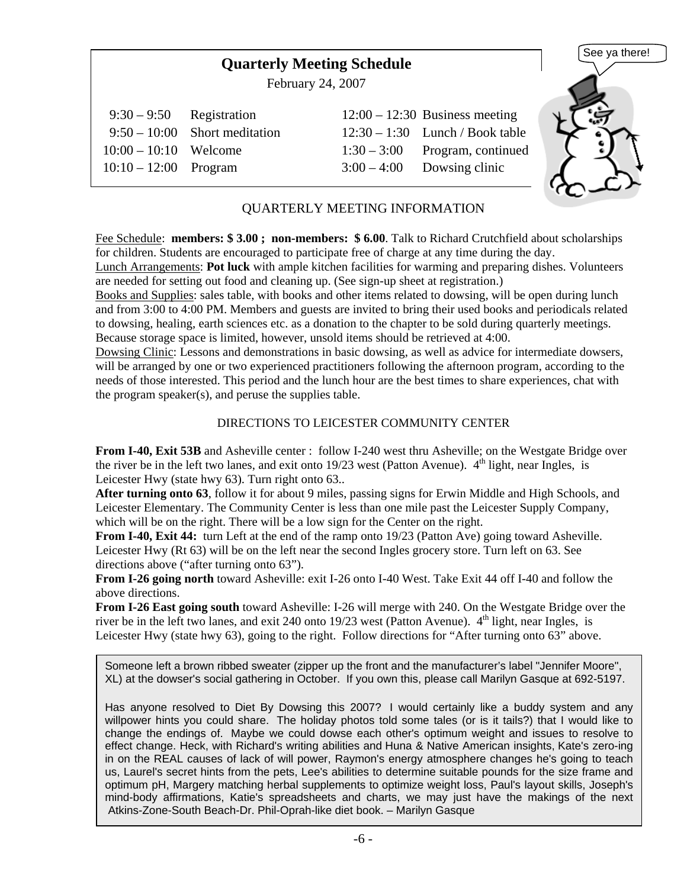# **Quarterly Meeting Schedule**

February 24, 2007

| $9:30-9:50$ Registration |                               | $12:00 - 12:30$ Business meeting  |
|--------------------------|-------------------------------|-----------------------------------|
|                          | $9:50-10:00$ Short meditation | $12:30 - 1:30$ Lunch / Book table |
| $10:00 - 10:10$ Welcome  |                               | $1:30-3:00$ Program, continued    |
| $10:10-12:00$ Program    |                               | $3:00-4:00$ Dowsing clinic        |



### QUARTERLY MEETING INFORMATION

Fee Schedule: **members: \$ 3.00 ; non-members: \$ 6.00**. Talk to Richard Crutchfield about scholarships for children. Students are encouraged to participate free of charge at any time during the day.

Lunch Arrangements: **Pot luck** with ample kitchen facilities for warming and preparing dishes. Volunteers are needed for setting out food and cleaning up. (See sign-up sheet at registration.)

Books and Supplies: sales table, with books and other items related to dowsing, will be open during lunch and from 3:00 to 4:00 PM. Members and guests are invited to bring their used books and periodicals related to dowsing, healing, earth sciences etc. as a donation to the chapter to be sold during quarterly meetings. Because storage space is limited, however, unsold items should be retrieved at 4:00.

Dowsing Clinic: Lessons and demonstrations in basic dowsing, as well as advice for intermediate dowsers, will be arranged by one or two experienced practitioners following the afternoon program, according to the needs of those interested. This period and the lunch hour are the best times to share experiences, chat with the program speaker(s), and peruse the supplies table.

### DIRECTIONS TO LEICESTER COMMUNITY CENTER

**From I-40, Exit 53B** and Asheville center : follow I-240 west thru Asheville; on the Westgate Bridge over the river be in the left two lanes, and exit onto  $19/23$  west (Patton Avenue).  $4<sup>th</sup>$  light, near Ingles, is Leicester Hwy (state hwy 63). Turn right onto 63..

**After turning onto 63**, follow it for about 9 miles, passing signs for Erwin Middle and High Schools, and Leicester Elementary. The Community Center is less than one mile past the Leicester Supply Company, which will be on the right. There will be a low sign for the Center on the right.

**From I-40, Exit 44:** turn Left at the end of the ramp onto 19/23 (Patton Ave) going toward Asheville. Leicester Hwy (Rt 63) will be on the left near the second Ingles grocery store. Turn left on 63. See directions above ("after turning onto 63").

**From I-26 going north** toward Asheville: exit I-26 onto I-40 West. Take Exit 44 off I-40 and follow the above directions.

**From I-26 East going south** toward Asheville: I-26 will merge with 240. On the Westgate Bridge over the river be in the left two lanes, and exit 240 onto 19/23 west (Patton Avenue).  $4<sup>th</sup>$  light, near Ingles, is Leicester Hwy (state hwy 63), going to the right. Follow directions for "After turning onto 63" above.

Someone left a brown ribbed sweater (zipper up the front and the manufacturer's label "Jennifer Moore", XL) at the dowser's social gathering in October. If you own this, please call Marilyn Gasque at 692-5197.

Has anyone resolved to Diet By Dowsing this 2007? I would certainly like a buddy system and any willpower hints you could share. The holiday photos told some tales (or is it tails?) that I would like to change the endings of. Maybe we could dowse each other's optimum weight and issues to resolve to effect change. Heck, with Richard's writing abilities and Huna & Native American insights, Kate's zero-ing in on the REAL causes of lack of will power, Raymon's energy atmosphere changes he's going to teach us, Laurel's secret hints from the pets, Lee's abilities to determine suitable pounds for the size frame and optimum pH, Margery matching herbal supplements to optimize weight loss, Paul's layout skills, Joseph's mind-body affirmations, Katie's spreadsheets and charts, we may just have the makings of the next Atkins-Zone-South Beach-Dr. Phil-Oprah-like diet book. – Marilyn Gasque